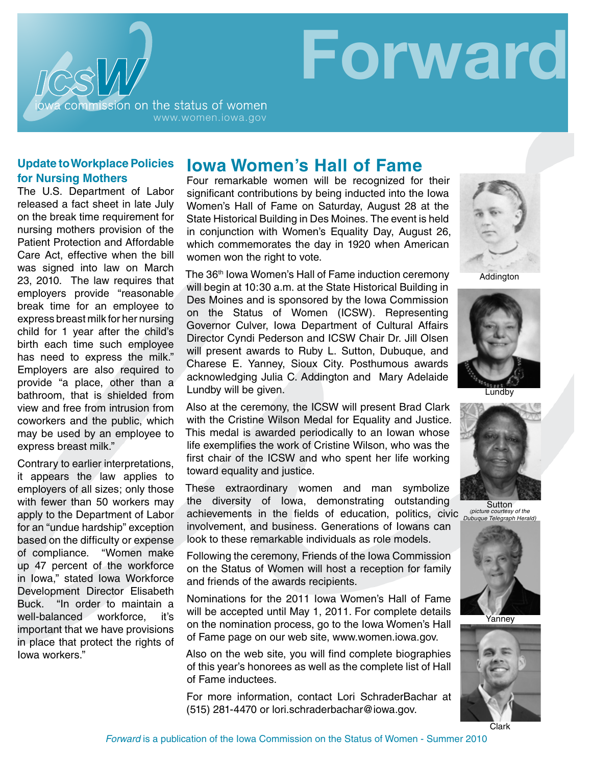

#### **Update to Workplace Policies for Nursing Mothers**

The U.S. Department of Labor released a fact sheet in late July on the break time requirement for nursing mothers provision of the Patient Protection and Affordable Care Act, effective when the bill was signed into law on March 23, 2010. The law requires that employers provide "reasonable break time for an employee to express breast milk for her nursing child for 1 year after the child's birth each time such employee has need to express the milk." Employers are also required to provide "a place, other than a bathroom, that is shielded from view and free from intrusion from coworkers and the public, which may be used by an employee to express breast milk."

Contrary to earlier interpretations, it appears the law applies to employers of all sizes; only those with fewer than 50 workers may apply to the Department of Labor for an "undue hardship" exception based on the difficulty or expense of compliance. "Women make up 47 percent of the workforce in Iowa," stated Iowa Workforce Development Director Elisabeth Buck. "In order to maintain a well-balanced workforce, it's important that we have provisions in place that protect the rights of Iowa workers."

## **Iowa Women's Hall of Fame**

Four remarkable women will be recognized for their significant contributions by being inducted into the Iowa Women's Hall of Fame on Saturday, August 28 at the State Historical Building in Des Moines. The event is held in conjunction with Women's Equality Day, August 26, which commemorates the day in 1920 when American women won the right to vote.

The 36<sup>th</sup> Iowa Women's Hall of Fame induction ceremony will begin at 10:30 a.m. at the State Historical Building in Des Moines and is sponsored by the Iowa Commission on the Status of Women (ICSW). Representing Governor Culver, Iowa Department of Cultural Affairs Director Cyndi Pederson and ICSW Chair Dr. Jill Olsen will present awards to Ruby L. Sutton, Dubuque, and Charese E. Yanney, Sioux City. Posthumous awards acknowledging Julia C. Addington and Mary Adelaide Lundby will be given.

Also at the ceremony, the ICSW will present Brad Clark with the Cristine Wilson Medal for Equality and Justice. This medal is awarded periodically to an Iowan whose life exemplifies the work of Cristine Wilson, who was the first chair of the ICSW and who spent her life working toward equality and justice.

These extraordinary women and man symbolize the diversity of Iowa, demonstrating outstanding achievements in the fields of education, politics, civic

involvement, and business. Generations of Iowans can look to these remarkable individuals as role models.

Following the ceremony, Friends of the Iowa Commission on the Status of Women will host a reception for family and friends of the awards recipients.

Nominations for the 2011 Iowa Women's Hall of Fame will be accepted until May 1, 2011. For complete details on the nomination process, go to the Iowa Women's Hall of Fame page on our web site, www.women.iowa.gov.

Also on the web site, you will find complete biographies of this year's honorees as well as the complete list of Hall of Fame inductees.

For more information, contact Lori SchraderBachar at (515) 281-4470 or lori.schraderbachar@iowa.gov.



**Forward**

friends of

Addington



Lundby



Sutton *(picture courtesy of the Dubuque Telegraph Herald)*



Yanney

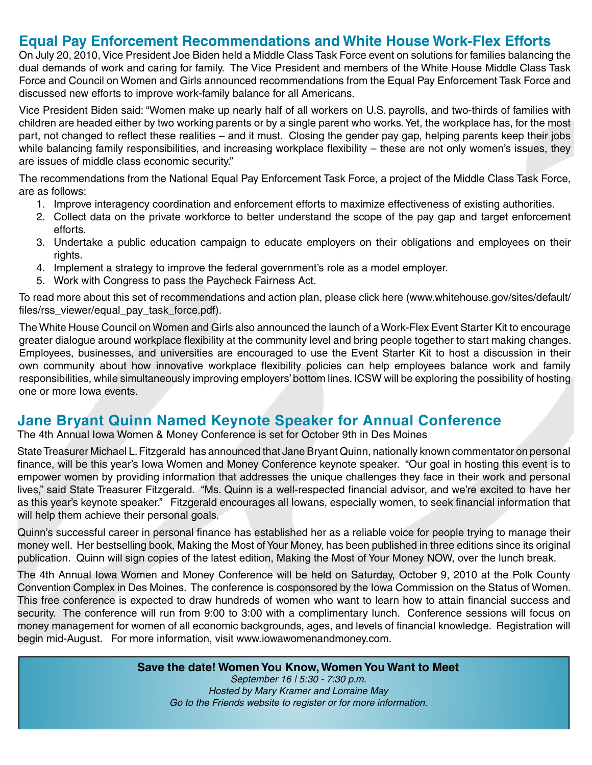### **Equal Pay Enforcement Recommendations and White House Work-Flex Efforts**

On July 20, 2010, Vice President Joe Biden held a Middle Class Task Force event on solutions for families balancing the dual demands of work and caring for family. The Vice President and members of the White House Middle Class Task Force and Council on Women and Girls announced recommendations from the Equal Pay Enforcement Task Force and discussed new efforts to improve work-family balance for all Americans.

Vice President Biden said: "Women make up nearly half of all workers on U.S. payrolls, and two-thirds of families with children are headed either by two working parents or by a single parent who works. Yet, the workplace has, for the most part, not changed to reflect these realities – and it must. Closing the gender pay gap, helping parents keep their jobs while balancing family responsibilities, and increasing workplace flexibility – these are not only women's issues, they are issues of middle class economic security."

The recommendations from the National Equal Pay Enforcement Task Force, a project of the Middle Class Task Force, are as follows:

- 1. Improve interagency coordination and enforcement efforts to maximize effectiveness of existing authorities.
- 2. Collect data on the private workforce to better understand the scope of the pay gap and target enforcement efforts.
- 3. Undertake a public education campaign to educate employers on their obligations and employees on their rights.
- 4. Implement a strategy to improve the federal government's role as a model employer.
- 5. Work with Congress to pass the Paycheck Fairness Act.

To read more about this set of recommendations and action plan, please click [here](http://www.whitehouse.gov/sites/default/files/rss_viewer/equal_pay_task_force.pdf) (www.whitehouse.gov/sites/default/ files/rss\_viewer/equal\_pay\_task\_force.pdf).

The White House Council on Women and Girls also announced the launch of a Work-Flex Event Starter Kit to encourage greater dialogue around workplace flexibility at the community level and bring people together to start making changes. Employees, businesses, and universities are encouraged to use the Event Starter Kit to host a discussion in their own community about how innovative workplace flexibility policies can help employees balance work and family responsibilities, while simultaneously improving employers' bottom lines. ICSW will be exploring the possibility of hosting one or more Iowa events.

#### **Jane Bryant Quinn Named Keynote Speaker for Annual Conference**

The 4th Annual Iowa Women & Money Conference is set for October 9th in Des Moines

State Treasurer Michael L. Fitzgerald has announced that Jane Bryant Quinn, nationally known commentator on personal finance, will be this year's Iowa Women and Money Conference keynote speaker. "Our goal in hosting this event is to empower women by providing information that addresses the unique challenges they face in their work and personal lives," said State Treasurer Fitzgerald. "Ms. Quinn is a well-respected financial advisor, and we're excited to have her as this year's keynote speaker." Fitzgerald encourages all Iowans, especially women, to seek financial information that will help them achieve their personal goals.

Quinn's successful career in personal finance has established her as a reliable voice for people trying to manage their money well. Her bestselling book, Making the Most of Your Money, has been published in three editions since its original publication. Quinn will sign copies of the latest edition, Making the Most of Your Money NOW, over the lunch break.

The 4th Annual Iowa Women and Money Conference will be held on Saturday, October 9, 2010 at the Polk County Convention Complex in Des Moines. The conference is cosponsored by the Iowa Commission on the Status of Women. This free conference is expected to draw hundreds of women who want to learn how to attain financial success and security. The conference will run from 9:00 to 3:00 with a complimentary lunch. Conference sessions will focus on money management for women of all economic backgrounds, ages, and levels of financial knowledge. Registration will begin mid-August. For more information, visit [www.iowawomenandmoney.com](http://www.iowawomenandmoney.com).

**Save the date! Women You Know, Women You Want to Meet**

*September 16 | 5:30 - 7:30 p.m. Hosted by Mary Kramer and Lorraine May Go to the [Friends website](http://www.friendsoficsw.org/women_you_know_49.html) to register or for more information.*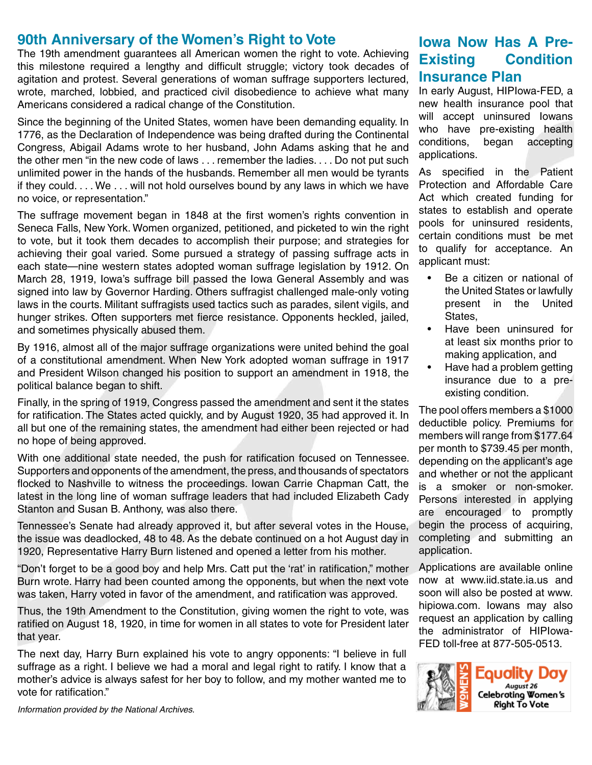### **90th Anniversary of the Women's Right to Vote**

The 19th amendment guarantees all American women the right to vote. Achieving this milestone required a lengthy and difficult struggle; victory took decades of agitation and protest. Several generations of woman suffrage supporters lectured, wrote, marched, lobbied, and practiced civil disobedience to achieve what many Americans considered a radical change of the Constitution.

Since the beginning of the United States, women have been demanding equality. In 1776, as the Declaration of Independence was being drafted during the Continental Congress, Abigail Adams wrote to her husband, John Adams asking that he and the other men "in the new code of laws . . . remember the ladies. . . . Do not put such unlimited power in the hands of the husbands. Remember all men would be tyrants if they could. . . . We . . . will not hold ourselves bound by any laws in which we have no voice, or representation."

The suffrage movement began in 1848 at the first women's rights convention in Seneca Falls, New York. Women organized, petitioned, and picketed to win the right to vote, but it took them decades to accomplish their purpose; and strategies for achieving their goal varied. Some pursued a strategy of passing suffrage acts in each state—nine western states adopted woman suffrage legislation by 1912. On March 28, 1919, Iowa's suffrage bill passed the Iowa General Assembly and was signed into law by Governor Harding. Others suffragist challenged male-only voting laws in the courts. Militant suffragists used tactics such as parades, silent vigils, and hunger strikes. Often supporters met fierce resistance. Opponents heckled, jailed, and sometimes physically abused them.

By 1916, almost all of the major suffrage organizations were united behind the goal of a constitutional amendment. When New York adopted woman suffrage in 1917 and President Wilson changed his position to support an amendment in 1918, the political balance began to shift.

Finally, in the spring of 1919, Congress passed the amendment and sent it the states for ratification. The States acted quickly, and by August 1920, 35 had approved it. In all but one of the remaining states, the amendment had either been rejected or had no hope of being approved.

With one additional state needed, the push for ratification focused on Tennessee. Supporters and opponents of the amendment, the press, and thousands of spectators flocked to Nashville to witness the proceedings. Iowan Carrie Chapman Catt, the latest in the long line of woman suffrage leaders that had included Elizabeth Cady Stanton and Susan B. Anthony, was also there.

Tennessee's Senate had already approved it, but after several votes in the House, the issue was deadlocked, 48 to 48. As the debate continued on a hot August day in 1920, Representative Harry Burn listened and opened a letter from his mother.

"Don't forget to be a good boy and help Mrs. Catt put the 'rat' in ratification," mother Burn wrote. Harry had been counted among the opponents, but when the next vote was taken, Harry voted in favor of the amendment, and ratification was approved.

Thus, the 19th Amendment to the Constitution, giving women the right to vote, was ratified on August 18, 1920, in time for women in all states to vote for President later that year.

The next day, Harry Burn explained his vote to angry opponents: "I believe in full suffrage as a right. I believe we had a moral and legal right to ratify. I know that a mother's advice is always safest for her boy to follow, and my mother wanted me to vote for ratification."

**Iowa Now Has A Pre-Existing Condition Insurance Plan**

In early August, HIPIowa-FED, a new health insurance pool that will accept uninsured Iowans who have pre-existing health conditions, began accepting applications.

As specified in the Patient Protection and Affordable Care Act which created funding for states to establish and operate pools for uninsured residents, certain conditions must be met to qualify for acceptance. An applicant must:

- Be a citizen or national of the United States or lawfully present in the United States,
- • Have been uninsured for at least six months prior to making application, and
- Have had a problem getting insurance due to a preexisting condition.

The pool offers members a \$1000 deductible policy. Premiums for members will range from \$177.64 per month to \$739.45 per month, depending on the applicant's age and whether or not the applicant is a smoker or non-smoker. Persons interested in applying are encouraged to promptly begin the process of acquiring, completing and submitting an application.

Applications are available online now at [www.iid.state.ia.us](http://www.iid.state.ia.us) and soon will also be posted at [www.](http://www.hipiowa.com) [hipiowa.com](http://www.hipiowa.com). Iowans may also request an application by calling the administrator of HIPIowa-FED toll-free at 877-505-0513.



*Information provided by the National Archives.*